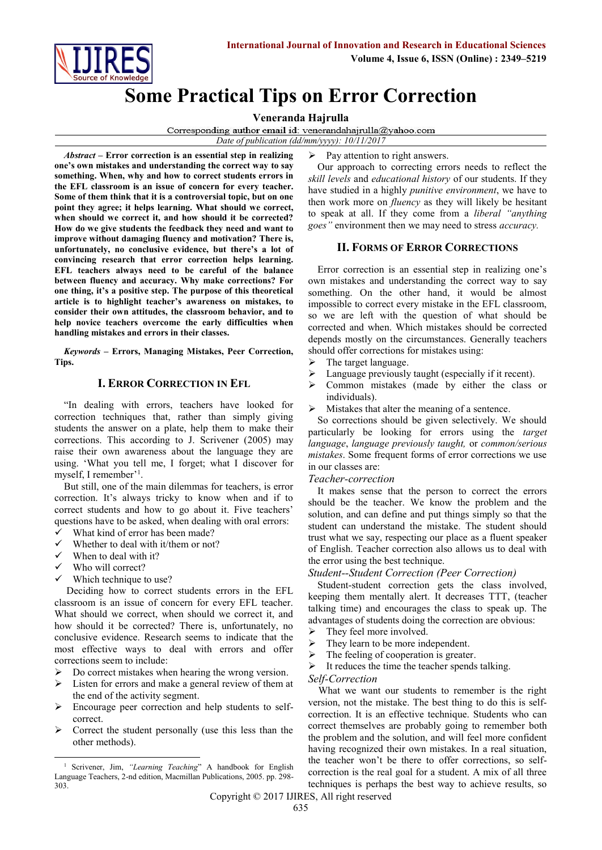

# **Some Practical Tips on Error Correction**

#### **Veneranda Hajrulla**

Corresponding author email id: venerandahajrulla@yahoo.com

*Date of publication (dd/mm/yyyy): 10/11/2017*

*Abstract* **– Error correction is an essential step in realizing one's own mistakes and understanding the correct way to say something. When, why and how to correct students errors in the EFL classroom is an issue of concern for every teacher. Some of them think that it is a controversial topic, but on one point they agree; it helps learning. What should we correct, when should we correct it, and how should it be corrected? How do we give students the feedback they need and want to improve without damaging fluency and motivation? There is, unfortunately, no conclusive evidence, but there's a lot of convincing research that error correction helps learning. EFL teachers always need to be careful of the balance between fluency and accuracy. Why make corrections? For one thing, it's a positive step. The purpose of this theoretical article is to highlight teacher's awareness on mistakes, to consider their own attitudes, the classroom behavior, and to help novice teachers overcome the early difficulties when handling mistakes and errors in their classes.**

*Keywords* **– Errors, Managing Mistakes, Peer Correction, Tips.** 

#### **I. ERROR CORRECTION IN EFL**

"In dealing with errors, teachers have looked for correction techniques that, rather than simply giving students the answer on a plate, help them to make their corrections. This according to J. Scrivener (2005) may raise their own awareness about the language they are using. 'What you tell me, I forget; what I discover for myself, I remember'<sup>1</sup>.

But still, one of the main dilemmas for teachers, is error correction. It's always tricky to know when and if to correct students and how to go about it. Five teachers' questions have to be asked, when dealing with oral errors:

- What kind of error has been made?  $\checkmark$  Whether to deal with it/them or not?
- When to deal with it?
- 
- Who will correct?
- $\checkmark$  Which technique to use?

Deciding how to correct students errors in the EFL classroom is an issue of concern for every EFL teacher. What should we correct, when should we correct it, and how should it be corrected? There is, unfortunately, no conclusive evidence. Research seems to indicate that the most effective ways to deal with errors and offer corrections seem to include:

- $\triangleright$  Do correct mistakes when hearing the wrong version.
- $\triangleright$  Listen for errors and make a general review of them at the end of the activity segment.
- Encourage peer correction and help students to selfcorrect.
- Correct the student personally (use this less than the other methods).

 $\triangleright$  Pay attention to right answers.

Our approach to correcting errors needs to reflect the *skill levels* and *educational history* of our students. If they have studied in a highly *punitive environment*, we have to then work more on *fluency* as they will likely be hesitant to speak at all. If they come from a *liberal "anything goes"* environment then we may need to stress *accuracy.* 

## **II. FORMS OF ERROR CORRECTIONS**

Error correction is an essential step in realizing one's own mistakes and understanding the correct way to say something. On the other hand, it would be almost impossible to correct every mistake in the EFL classroom, so we are left with the question of what should be corrected and when. Which mistakes should be corrected depends mostly on the circumstances. Generally teachers should offer corrections for mistakes using:

- $\triangleright$  The target language.
- $\triangleright$  Language previously taught (especially if it recent).
- $\triangleright$  Common mistakes (made by either the class or individuals).
- $\triangleright$  Mistakes that alter the meaning of a sentence.

So corrections should be given selectively. We should particularly be looking for errors using the *target language*, *language previously taught,* or *common/serious mistakes*. Some frequent forms of error corrections we use in our classes are:

#### *Teacher-correction*

It makes sense that the person to correct the errors should be the teacher. We know the problem and the solution, and can define and put things simply so that the student can understand the mistake. The student should trust what we say, respecting our place as a fluent speaker of English. Teacher correction also allows us to deal with the error using the best technique.

#### *Student--Student Correction (Peer Correction)*

Student-student correction gets the class involved, keeping them mentally alert. It decreases TTT, (teacher talking time) and encourages the class to speak up. The advantages of students doing the correction are obvious:

- $\triangleright$  They feel more involved.
- $\triangleright$  They learn to be more independent.
- $\triangleright$  The feeling of cooperation is greater.
- It reduces the time the teacher spends talking.

#### *Self-Correction*

What we want our students to remember is the right version, not the mistake. The best thing to do this is selfcorrection. It is an effective technique. Students who can correct themselves are probably going to remember both the problem and the solution, and will feel more confident having recognized their own mistakes. In a real situation, the teacher won't be there to offer corrections, so selfcorrection is the real goal for a student. A mix of all three techniques is perhaps the best way to achieve results, so

**<sup>.</sup>** <sup>1</sup> Scrivener, Jim, *"Learning Teaching*" A handbook for English Language Teachers, 2-nd edition, Macmillan Publications, 2005. pp. 298- 303.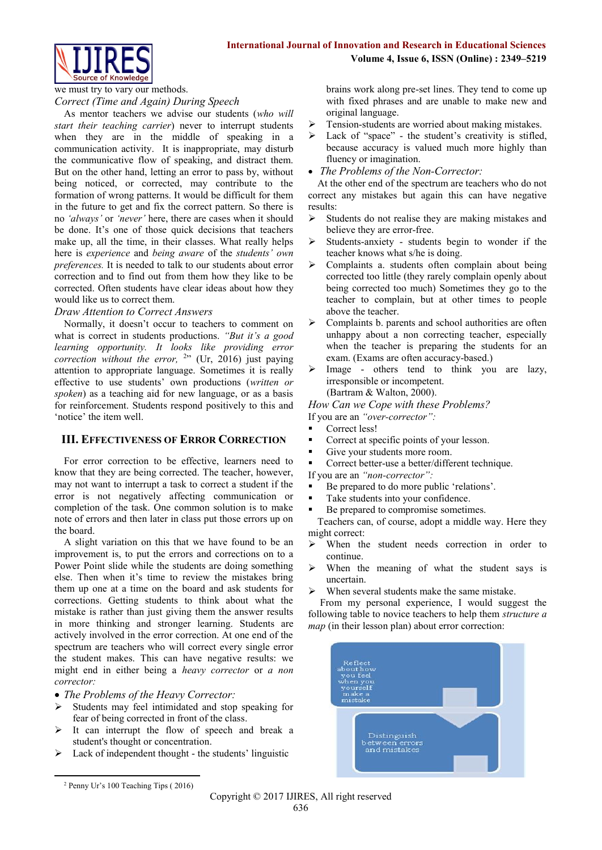

we must try to vary our methods.

*Correct (Time and Again) During Speech*

As mentor teachers we advise our students (*who will start their teaching carrier*) never to interrupt students when they are in the middle of speaking in a communication activity. It is inappropriate, may disturb the communicative flow of speaking, and distract them. But on the other hand, letting an error to pass by, without being noticed, or corrected, may contribute to the formation of wrong patterns. It would be difficult for them in the future to get and fix the correct pattern. So there is no *'always'* or *'never'* here, there are cases when it should be done. It's one of those quick decisions that teachers make up, all the time, in their classes. What really helps here is *experience* and *being aware* of the *students' own preferences.* It is needed to talk to our students about error correction and to find out from them how they like to be corrected. Often students have clear ideas about how they would like us to correct them.

#### *Draw Attention to Correct Answers*

Normally, it doesn't occur to teachers to comment on what is correct in students productions. *"But it's a good learning opportunity. It looks like providing error correction without the error,*  $2$ <sup>3</sup> (Ur, 2016) just paying attention to appropriate language. Sometimes it is really effective to use students' own productions (*written or spoken*) as a teaching aid for new language, or as a basis for reinforcement. Students respond positively to this and 'notice' the item well.

# **III. EFFECTIVENESS OF ERROR CORRECTION**

For error correction to be effective, learners need to know that they are being corrected. The teacher, however, may not want to interrupt a task to correct a student if the error is not negatively affecting communication or completion of the task. One common solution is to make note of errors and then later in class put those errors up on the board.

A slight variation on this that we have found to be an improvement is, to put the errors and corrections on to a Power Point slide while the students are doing something else. Then when it's time to review the mistakes bring them up one at a time on the board and ask students for corrections. Getting students to think about what the mistake is rather than just giving them the answer results in more thinking and stronger learning. Students are actively involved in the error correction. At one end of the spectrum are teachers who will correct every single error the student makes. This can have negative results: we might end in either being a *heavy corrector* or *a non corrector:*

*The Problems of the Heavy Corrector:*

- Students may feel intimidated and stop speaking for fear of being corrected in front of the class.
- It can interrupt the flow of speech and break a student's thought or concentration.
- Lack of independent thought the students' linguistic

brains work along pre-set lines. They tend to come up with fixed phrases and are unable to make new and original language.

- $\triangleright$  Tension-students are worried about making mistakes.
- > Lack of "space" the student's creativity is stifled, because accuracy is valued much more highly than fluency or imagination.
- *The Problems of the Non-Corrector:*

At the other end of the spectrum are teachers who do not correct any mistakes but again this can have negative results:

- $\triangleright$  Students do not realise they are making mistakes and believe they are error-free.
- $\triangleright$  Students-anxiety students begin to wonder if the teacher knows what s/he is doing.
- > Complaints a. students often complain about being corrected too little (they rarely complain openly about being corrected too much) Sometimes they go to the teacher to complain, but at other times to people above the teacher.
- $\triangleright$  Complaints b. parents and school authorities are often unhappy about a non correcting teacher, especially when the teacher is preparing the students for an exam. (Exams are often accuracy-based.)
- > Image others tend to think you are lazy, irresponsible or incompetent. (Bartram & Walton, 2000).

*How Can we Cope with these Problems?*

If you are an *"over-corrector":*

- Correct less!
- **Correct at specific points of your lesson.**
- Give your students more room.
- Correct better-use a better/different technique.
- If you are an *"non-corrector":*
- Be prepared to do more public 'relations'.
- Take students into your confidence.
- Be prepared to compromise sometimes.

Teachers can, of course, adopt a middle way. Here they might correct:

- When the student needs correction in order to continue.
- $\triangleright$  When the meaning of what the student says is uncertain.
- $\triangleright$  When several students make the same mistake.

From my personal experience, I would suggest the following table to novice teachers to help them *structure a map* (in their lesson plan) about error correction:



**.** 

<sup>2</sup> Penny Ur's 100 Teaching Tips ( 2016)